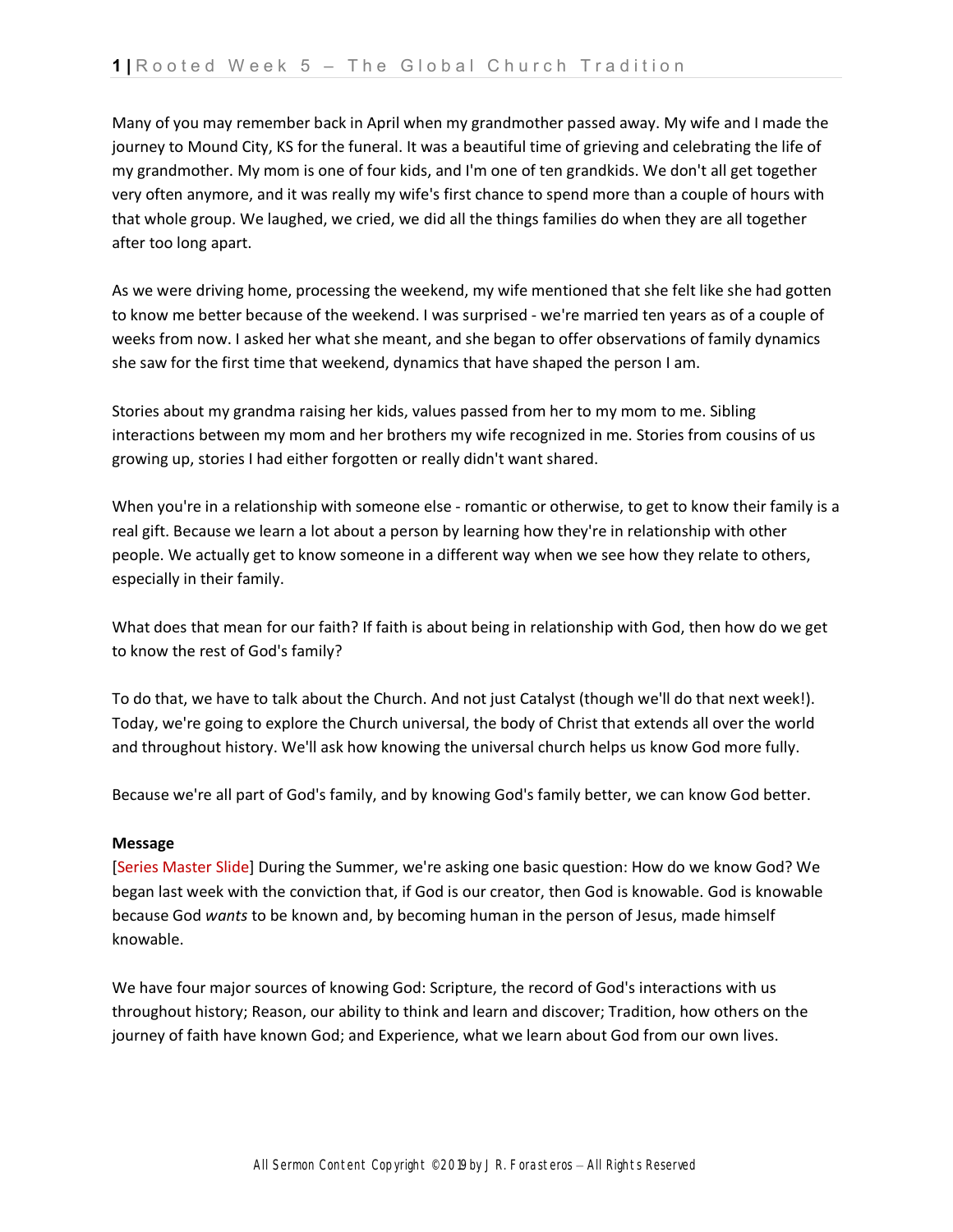Many of you may remember back in April when my grandmother passed away. My wife and I made the journey to Mound City, KS for the funeral. It was a beautiful time of grieving and celebrating the life of my grandmother. My mom is one of four kids, and I'm one of ten grandkids. We don't all get together very often anymore, and it was really my wife's first chance to spend more than a couple of hours with that whole group. We laughed, we cried, we did all the things families do when they are all together after too long apart.

As we were driving home, processing the weekend, my wife mentioned that she felt like she had gotten to know me better because of the weekend. I was surprised - we're married ten years as of a couple of weeks from now. I asked her what she meant, and she began to offer observations of family dynamics she saw for the first time that weekend, dynamics that have shaped the person I am.

Stories about my grandma raising her kids, values passed from her to my mom to me. Sibling interactions between my mom and her brothers my wife recognized in me. Stories from cousins of us growing up, stories I had either forgotten or really didn't want shared.

When you're in a relationship with someone else - romantic or otherwise, to get to know their family is a real gift. Because we learn a lot about a person by learning how they're in relationship with other people. We actually get to know someone in a different way when we see how they relate to others, especially in their family.

What does that mean for our faith? If faith is about being in relationship with God, then how do we get to know the rest of God's family?

To do that, we have to talk about the Church. And not just Catalyst (though we'll do that next week!). Today, we're going to explore the Church universal, the body of Christ that extends all over the world and throughout history. We'll ask how knowing the universal church helps us know God more fully.

Because we're all part of God's family, and by knowing God's family better, we can know God better.

## **Message**

[Series Master Slide] During the Summer, we're asking one basic question: How do we know God? We began last week with the conviction that, if God is our creator, then God is knowable. God is knowable because God *wants* to be known and, by becoming human in the person of Jesus, made himself knowable.

We have four major sources of knowing God: Scripture, the record of God's interactions with us throughout history; Reason, our ability to think and learn and discover; Tradition, how others on the journey of faith have known God; and Experience, what we learn about God from our own lives.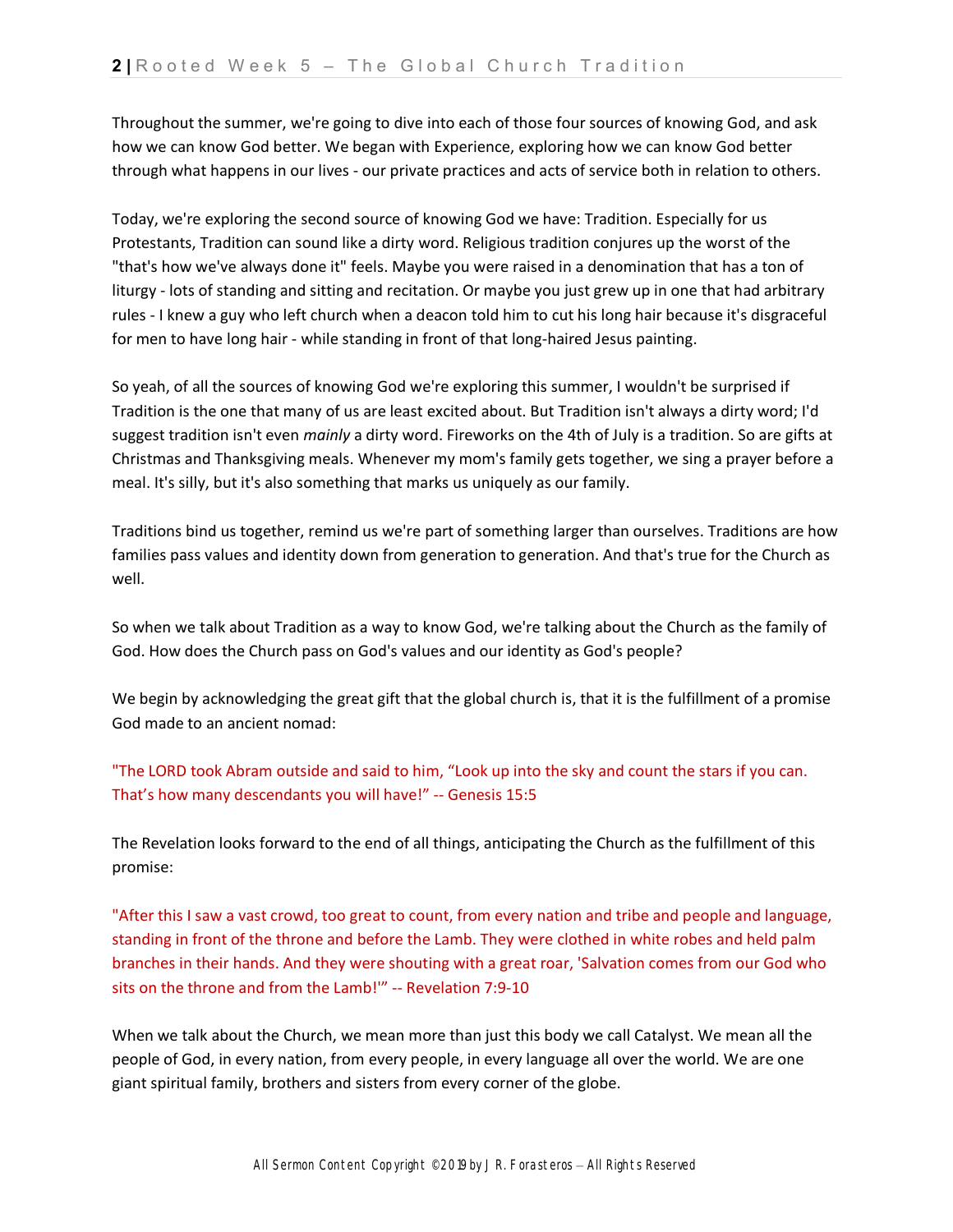Throughout the summer, we're going to dive into each of those four sources of knowing God, and ask how we can know God better. We began with Experience, exploring how we can know God better through what happens in our lives - our private practices and acts of service both in relation to others.

Today, we're exploring the second source of knowing God we have: Tradition. Especially for us Protestants, Tradition can sound like a dirty word. Religious tradition conjures up the worst of the "that's how we've always done it" feels. Maybe you were raised in a denomination that has a ton of liturgy - lots of standing and sitting and recitation. Or maybe you just grew up in one that had arbitrary rules - I knew a guy who left church when a deacon told him to cut his long hair because it's disgraceful for men to have long hair - while standing in front of that long-haired Jesus painting.

So yeah, of all the sources of knowing God we're exploring this summer, I wouldn't be surprised if Tradition is the one that many of us are least excited about. But Tradition isn't always a dirty word; I'd suggest tradition isn't even *mainly* a dirty word. Fireworks on the 4th of July is a tradition. So are gifts at Christmas and Thanksgiving meals. Whenever my mom's family gets together, we sing a prayer before a meal. It's silly, but it's also something that marks us uniquely as our family.

Traditions bind us together, remind us we're part of something larger than ourselves. Traditions are how families pass values and identity down from generation to generation. And that's true for the Church as well.

So when we talk about Tradition as a way to know God, we're talking about the Church as the family of God. How does the Church pass on God's values and our identity as God's people?

We begin by acknowledging the great gift that the global church is, that it is the fulfillment of a promise God made to an ancient nomad:

"The LORD took Abram outside and said to him, "Look up into the sky and count the stars if you can. That's how many descendants you will have!" -- Genesis 15:5

The Revelation looks forward to the end of all things, anticipating the Church as the fulfillment of this promise:

"After this I saw a vast crowd, too great to count, from every nation and tribe and people and language, standing in front of the throne and before the Lamb. They were clothed in white robes and held palm branches in their hands. And they were shouting with a great roar, 'Salvation comes from our God who sits on the throne and from the Lamb!'" -- Revelation 7:9-10

When we talk about the Church, we mean more than just this body we call Catalyst. We mean all the people of God, in every nation, from every people, in every language all over the world. We are one giant spiritual family, brothers and sisters from every corner of the globe.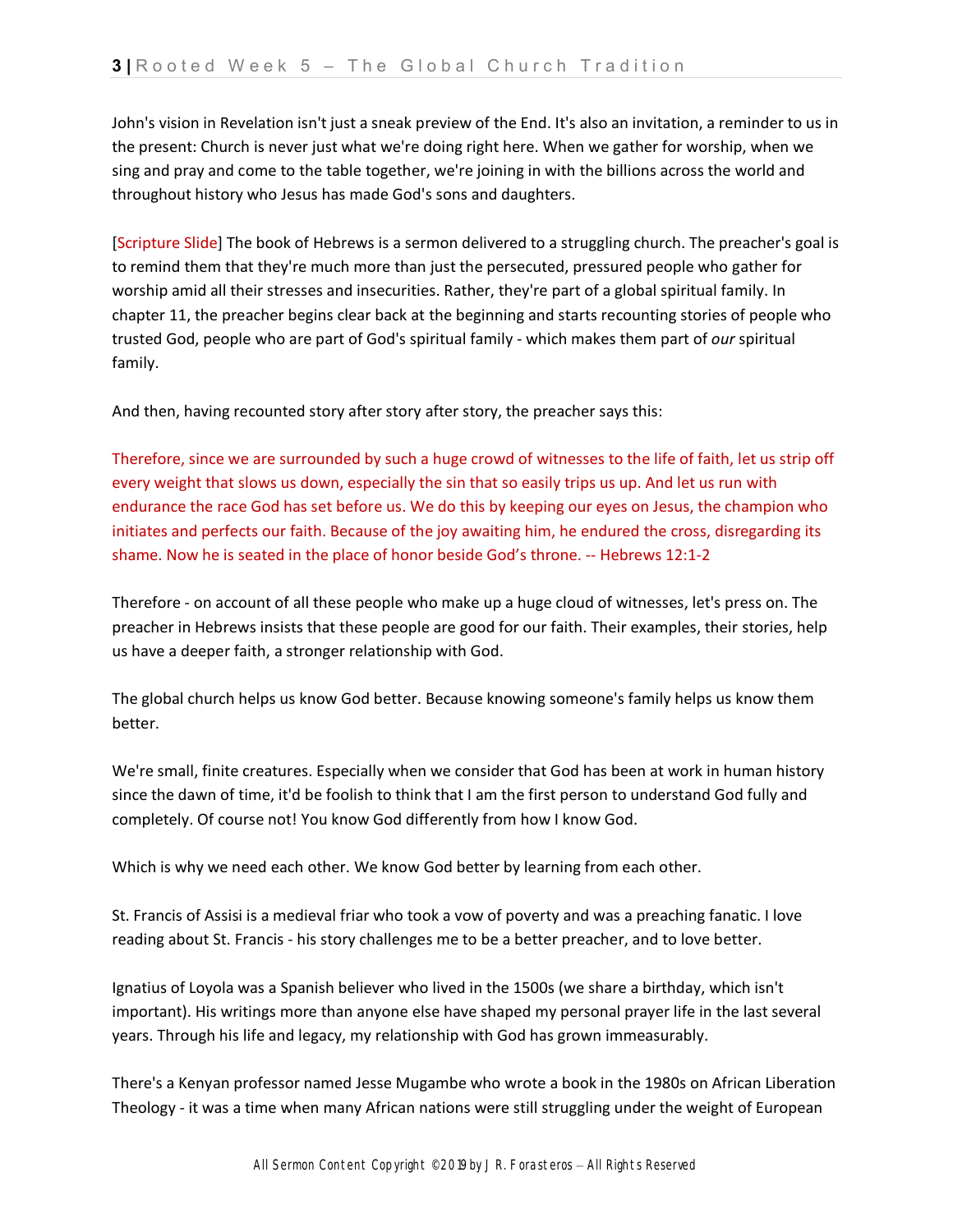John's vision in Revelation isn't just a sneak preview of the End. It's also an invitation, a reminder to us in the present: Church is never just what we're doing right here. When we gather for worship, when we sing and pray and come to the table together, we're joining in with the billions across the world and throughout history who Jesus has made God's sons and daughters.

[Scripture Slide] The book of Hebrews is a sermon delivered to a struggling church. The preacher's goal is to remind them that they're much more than just the persecuted, pressured people who gather for worship amid all their stresses and insecurities. Rather, they're part of a global spiritual family. In chapter 11, the preacher begins clear back at the beginning and starts recounting stories of people who trusted God, people who are part of God's spiritual family - which makes them part of *our* spiritual family.

And then, having recounted story after story after story, the preacher says this:

Therefore, since we are surrounded by such a huge crowd of witnesses to the life of faith, let us strip off every weight that slows us down, especially the sin that so easily trips us up. And let us run with endurance the race God has set before us. We do this by keeping our eyes on Jesus, the champion who initiates and perfects our faith. Because of the joy awaiting him, he endured the cross, disregarding its shame. Now he is seated in the place of honor beside God's throne. -- Hebrews 12:1-2

Therefore - on account of all these people who make up a huge cloud of witnesses, let's press on. The preacher in Hebrews insists that these people are good for our faith. Their examples, their stories, help us have a deeper faith, a stronger relationship with God.

The global church helps us know God better. Because knowing someone's family helps us know them better.

We're small, finite creatures. Especially when we consider that God has been at work in human history since the dawn of time, it'd be foolish to think that I am the first person to understand God fully and completely. Of course not! You know God differently from how I know God.

Which is why we need each other. We know God better by learning from each other.

St. Francis of Assisi is a medieval friar who took a vow of poverty and was a preaching fanatic. I love reading about St. Francis - his story challenges me to be a better preacher, and to love better.

Ignatius of Loyola was a Spanish believer who lived in the 1500s (we share a birthday, which isn't important). His writings more than anyone else have shaped my personal prayer life in the last several years. Through his life and legacy, my relationship with God has grown immeasurably.

There's a Kenyan professor named Jesse Mugambe who wrote a book in the 1980s on African Liberation Theology - it was a time when many African nations were still struggling under the weight of European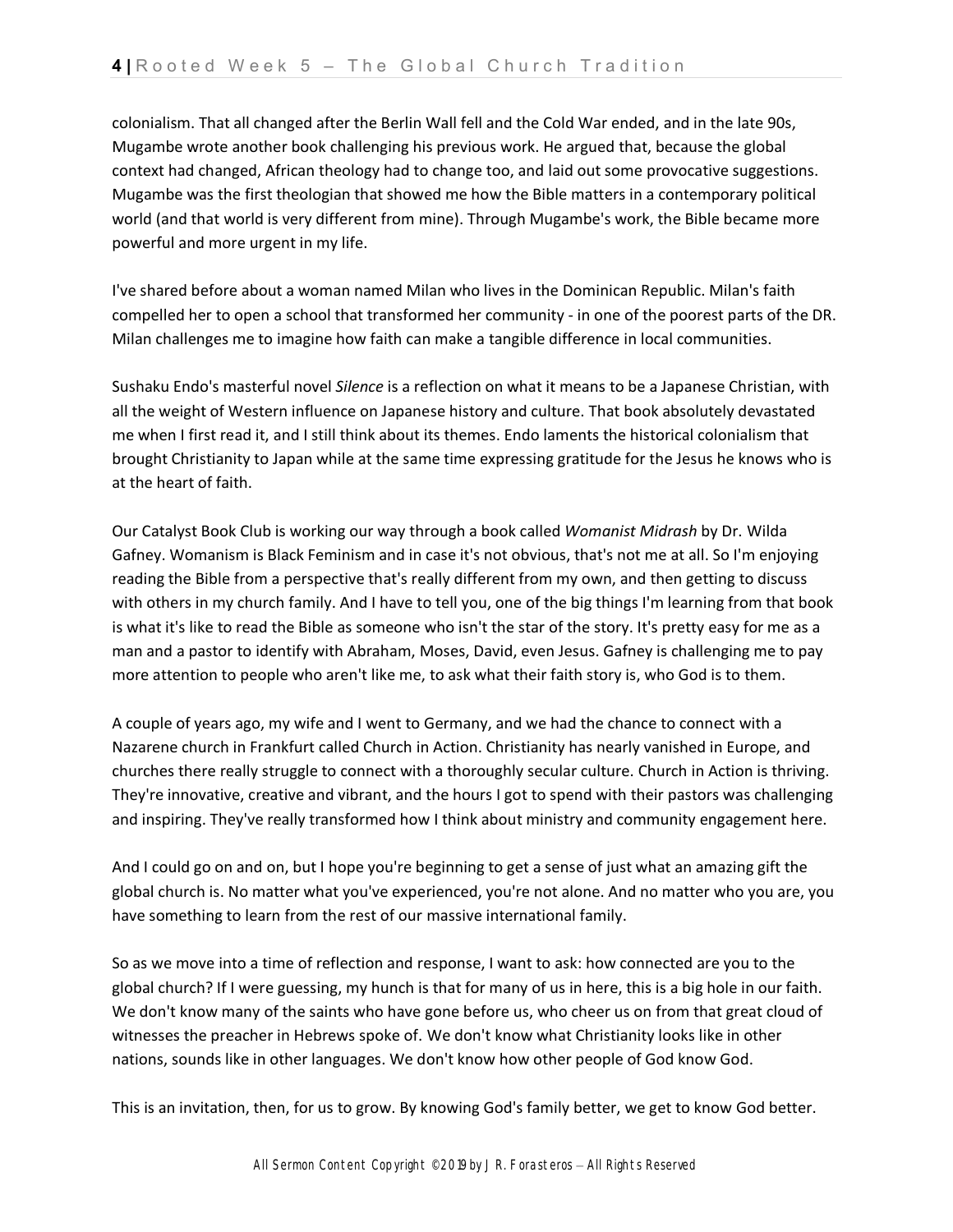colonialism. That all changed after the Berlin Wall fell and the Cold War ended, and in the late 90s, Mugambe wrote another book challenging his previous work. He argued that, because the global context had changed, African theology had to change too, and laid out some provocative suggestions. Mugambe was the first theologian that showed me how the Bible matters in a contemporary political world (and that world is very different from mine). Through Mugambe's work, the Bible became more powerful and more urgent in my life.

I've shared before about a woman named Milan who lives in the Dominican Republic. Milan's faith compelled her to open a school that transformed her community - in one of the poorest parts of the DR. Milan challenges me to imagine how faith can make a tangible difference in local communities.

Sushaku Endo's masterful novel *Silence* is a reflection on what it means to be a Japanese Christian, with all the weight of Western influence on Japanese history and culture. That book absolutely devastated me when I first read it, and I still think about its themes. Endo laments the historical colonialism that brought Christianity to Japan while at the same time expressing gratitude for the Jesus he knows who is at the heart of faith.

Our Catalyst Book Club is working our way through a book called *Womanist Midrash* by Dr. Wilda Gafney. Womanism is Black Feminism and in case it's not obvious, that's not me at all. So I'm enjoying reading the Bible from a perspective that's really different from my own, and then getting to discuss with others in my church family. And I have to tell you, one of the big things I'm learning from that book is what it's like to read the Bible as someone who isn't the star of the story. It's pretty easy for me as a man and a pastor to identify with Abraham, Moses, David, even Jesus. Gafney is challenging me to pay more attention to people who aren't like me, to ask what their faith story is, who God is to them.

A couple of years ago, my wife and I went to Germany, and we had the chance to connect with a Nazarene church in Frankfurt called Church in Action. Christianity has nearly vanished in Europe, and churches there really struggle to connect with a thoroughly secular culture. Church in Action is thriving. They're innovative, creative and vibrant, and the hours I got to spend with their pastors was challenging and inspiring. They've really transformed how I think about ministry and community engagement here.

And I could go on and on, but I hope you're beginning to get a sense of just what an amazing gift the global church is. No matter what you've experienced, you're not alone. And no matter who you are, you have something to learn from the rest of our massive international family.

So as we move into a time of reflection and response, I want to ask: how connected are you to the global church? If I were guessing, my hunch is that for many of us in here, this is a big hole in our faith. We don't know many of the saints who have gone before us, who cheer us on from that great cloud of witnesses the preacher in Hebrews spoke of. We don't know what Christianity looks like in other nations, sounds like in other languages. We don't know how other people of God know God.

This is an invitation, then, for us to grow. By knowing God's family better, we get to know God better.